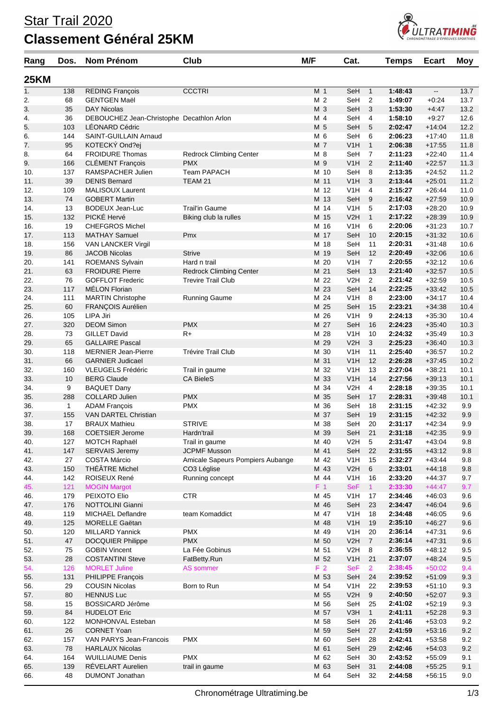## Star Trail 2020 **Classement Général 25KM**



| Rang        | Dos.         | Nom Prénom                                          | Club                             | M/F            | Cat.                                    |                    | <b>Temps</b>       | <b>Ecart</b>             | <b>Moy</b>   |
|-------------|--------------|-----------------------------------------------------|----------------------------------|----------------|-----------------------------------------|--------------------|--------------------|--------------------------|--------------|
| <b>25KM</b> |              |                                                     |                                  |                |                                         |                    |                    |                          |              |
| 1.          | 138          | <b>REDING François</b>                              | <b>CCCTRI</b>                    | M <sub>1</sub> | SeH                                     | $\mathbf{1}$       | 1:48:43            | $\overline{\phantom{a}}$ | 13.7         |
| 2.          | 68           | <b>GENTGEN Maël</b>                                 |                                  | M 2            | SeH                                     | 2                  | 1:49:07            | $+0:24$                  | 13.7         |
| 3.          | 35           | <b>DAY Nicolas</b>                                  |                                  | M 3            | SeH                                     | 3                  | 1:53:30            | $+4:47$                  | 13.2         |
| 4.          | 36           | DEBOUCHEZ Jean-Christophe Decathlon Arlon           |                                  | M 4            | SeH                                     | 4                  | 1:58:10            | $+9:27$                  | 12.6         |
| 5.          | 103          | <b>LÉONARD Cédric</b>                               |                                  | M 5<br>M 6     | SeH                                     | 5<br>6             | 2:02:47            | $+14:04$                 | 12.2<br>11.8 |
| 6.<br>7.    | 144<br>95    | SAINT-GUILLAIN Arnaud<br>KOTECKÝ Ond?ej             |                                  | M 7            | SeH<br>V1H                              | $\mathbf{1}$       | 2:06:23<br>2:06:38 | $+17:40$<br>$+17:55$     | 11.8         |
| 8.          | 64           | <b>FROIDURE Thomas</b>                              | <b>Redrock Climbing Center</b>   | M 8            | SeH                                     | 7                  | 2:11:23            | $+22:40$                 | 11.4         |
| 9.          | 166          | <b>CLÉMENT François</b>                             | <b>PMX</b>                       | M 9            | V <sub>1</sub> H                        | 2                  | 2:11:40            | $+22:57$                 | 11.3         |
| 10.         | 137          | RAMSPACHER Julien                                   | Team PAPACH                      |                | M 10<br>SeH                             | 8                  | 2:13:35            | $+24:52$                 | 11.2         |
| 11.         | 39           | <b>DENIS Bernard</b>                                | TEAM 21                          | M 11           | V1H                                     | 3                  | 2:13:44            | $+25:01$                 | 11.2         |
| 12.         | 109          | MALISOUX Laurent                                    |                                  |                | M 12<br>V <sub>1</sub> H                | 4                  | 2:15:27            | $+26:44$                 | 11.0         |
| 13.         | 74           | <b>GOBERT Martin</b>                                |                                  |                | M 13<br>SeH                             | 9                  | 2:16:42            | $+27:59$                 | 10.9         |
| 14.         | 13           | <b>BODEUX Jean-Luc</b>                              | <b>Trail'in Gaume</b>            |                | M 14<br>V <sub>1</sub> H                | 5                  | 2:17:03            | $+28:20$                 | 10.9         |
| 15.<br>16.  | 132<br>19    | PICKÉ Hervé<br><b>CHEFGROS Michel</b>               | Biking club la rulles            | M 16           | M 15<br>V2H<br>V <sub>1</sub> H         | $\mathbf{1}$<br>6  | 2:17:22<br>2:20:06 | $+28:39$<br>$+31:23$     | 10.9<br>10.7 |
| 17.         | 113          | <b>MATHAY Samuel</b>                                | Pmx                              |                | M 17<br>SeH                             | 10                 | 2:20:15            | $+31:32$                 | 10.6         |
| 18.         | 156          | <b>VAN LANCKER Virgil</b>                           |                                  |                | M 18<br>SeH                             | 11                 | 2:20:31            | $+31:48$                 | 10.6         |
| 19.         | 86           | <b>JACOB Nicolas</b>                                | <b>Strive</b>                    |                | M 19<br>SeH                             | 12                 | 2:20:49            | $+32:06$                 | 10.6         |
| 20.         | 141          | ROEMANS Sylvain                                     | Hard n trail                     |                | M 20<br>V1H                             | $\overline{7}$     | 2:20:55            | $+32:12$                 | 10.6         |
| 21.         | 63           | <b>FROIDURE Pierre</b>                              | <b>Redrock Climbing Center</b>   | M 21           | SeH                                     | 13                 | 2:21:40            | $+32:57$                 | 10.5         |
| 22.         | 76           | <b>GOFFLOT Frederic</b>                             | <b>Trevire Trail Club</b>        |                | M 22<br>V <sub>2</sub> H                | 2                  | 2:21:42            | $+32:59$                 | 10.5         |
| 23.         | 117          | <b>MÉLON Florian</b>                                |                                  |                | M 23<br>SeH                             | 14                 | 2:22:25            | $+33:42$                 | 10.5         |
| 24.         | 111          | <b>MARTIN Christophe</b>                            | <b>Running Gaume</b>             |                | M 24<br>V1H                             | 8                  | 2:23:00            | $+34:17$                 | 10.4         |
| 25.         | 60           | FRANÇOIS Aurélien                                   |                                  |                | M 25<br>SeH                             | 15                 | 2:23:21            | $+34:38$                 | 10.4         |
| 26.<br>27.  | 105<br>320   | LIPA Jiri<br><b>DEOM Simon</b>                      | <b>PMX</b>                       | M 27           | M 26<br>V <sub>1</sub> H<br>SeH         | 9<br>16            | 2:24:13<br>2:24:23 | $+35:30$<br>$+35:40$     | 10.4<br>10.3 |
| 28.         | 73           | <b>GILLET David</b>                                 | R+                               |                | M 28<br>V1H                             | 10                 | 2:24:32            | $+35:49$                 | 10.3         |
| 29.         | 65           | <b>GALLAIRE Pascal</b>                              |                                  |                | M 29<br>V2H                             | 3                  | 2:25:23            | $+36:40$                 | 10.3         |
| 30.         | 118          | <b>MERNIER Jean-Pierre</b>                          | Trévire Trail Club               |                | M 30<br>V1H                             | 11                 | 2:25:40            | $+36:57$                 | 10.2         |
| 31.         | 66           | <b>GARNIER Judicael</b>                             |                                  | M 31           | V1H                                     | 12                 | 2:26:28            | $+37:45$                 | 10.2         |
| 32.         | 160          | VLEUGELS Frédéric                                   | Trail in gaume                   |                | M 32<br>V <sub>1</sub> H                | 13                 | 2:27:04            | $+38.21$                 | 10.1         |
| 33.         | 10           | <b>BERG Claude</b>                                  | <b>CA BieleS</b>                 |                | M 33<br>V1H                             | 14                 | 2:27:56            | $+39:13$                 | 10.1         |
| 34.         | 9            | <b>BAQUET Dany</b>                                  |                                  |                | M 34<br>V <sub>2</sub> H                | 4                  | 2:28:18            | $+39:35$                 | 10.1         |
| 35.         | 288          | <b>COLLARD Julien</b>                               | <b>PMX</b>                       |                | M 35<br>SeH                             | 17                 | 2:28:31            | $+39:48$                 | 10.1         |
| 36.         | $\mathbf{1}$ | <b>ADAM François</b>                                | <b>PMX</b>                       |                | M 36<br>SeH                             | 18                 | 2:31:15            | $+42:32$                 | 9.9          |
| 37.<br>38.  | 155<br>17    | <b>VAN DARTEL Christian</b><br><b>BRAUX Mathieu</b> | <b>STRIVE</b>                    | M 37           | SeH<br>M 38<br>SeH                      | 19<br>20           | 2:31:15<br>2:31:17 | $+42:32$<br>$+42:34$     | 9.9<br>9.9   |
| 39.         | 168          | <b>COETSIER Jerome</b>                              | Hardn'trail                      | M 39           | SeH                                     | 21                 | 2:31:18            | $+42:35$                 | 9.9          |
| 40.         | 127          | <b>MOTCH Raphaël</b>                                | Trail in gaume                   |                | M 40<br>V <sub>2</sub> H                | 5                  | 2:31:47            | $+43:04$                 | 9.8          |
| 41.         | 147          | <b>SERVAIS Jeremy</b>                               | <b>JCPMF Musson</b>              | M 41           | SeH                                     | 22                 | 2:31:55            | $+43:12$                 | 9.8          |
| 42.         | 27           | COSTA Márcio                                        | Amicale Sapeurs Pompiers Aubange |                | M 42<br>V <sub>1</sub> H                | 15                 | 2:32:27            | $+43.44$                 | 9.8          |
| 43.         | 150          | THÉÂTRE Michel                                      | CO3 Léglise                      |                | M 43<br>V2H                             | 6                  | 2:33:01            | $+44:18$                 | 9.8          |
| 44.         | 142          | ROISEUX René                                        | Running concept                  |                | V <sub>1</sub> H<br>M 44                | 16                 | 2:33:20            | $+44:37$                 | 9.7          |
| 45.         | 121          | <b>MOGIN Margot</b>                                 |                                  |                | $F_1$ 1<br><b>SeF</b>                   | 1                  | 2:33:30            | $+44:47$                 | 9.7          |
| 46.         | 179          | PEIXOTO Elio                                        | <b>CTR</b>                       |                | M 45<br>V <sub>1</sub> H                | 17                 | 2:34:46            | $+46:03$                 | 9.6          |
| 47.<br>48.  | 176<br>119   | NOTTOLINI Gianni<br>MICHAEL Deflandre               | team Komaddict                   |                | M 46<br>SeH<br>M 47<br>V <sub>1</sub> H | 23<br>18           | 2:34:47<br>2:34:48 | $+46:04$<br>$+46:05$     | 9.6<br>9.6   |
| 49.         | 125          | <b>MORELLE Gaëtan</b>                               |                                  |                | M 48<br>V <sub>1</sub> H                | 19                 | 2:35:10            | $+46:27$                 | 9.6          |
| 50.         | 120          | <b>MILLARD Yannick</b>                              | <b>PMX</b>                       |                | V <sub>1</sub> H<br>M 49                | 20                 | 2:36:14            | $+47:31$                 | 9.6          |
| 51.         | 47           | <b>DOCQUIER Philippe</b>                            | <b>PMX</b>                       |                | M 50<br>V2H                             | $\overline{7}$     | 2:36:14            | $+47:31$                 | 9.6          |
| 52.         | 75           | <b>GOBIN Vincent</b>                                | La Fée Gobinus                   |                | M 51<br>V <sub>2</sub> H                | 8                  | 2:36:55            | $+48:12$                 | 9.5          |
| 53.         | 28           | <b>COSTANTINI Steve</b>                             | FatBetty.Run                     |                | M 52<br>V <sub>1</sub> H                | 21                 | 2:37:07            | $+48:24$                 | $9.5\,$      |
| 54.         | 126          | <b>MORLET Juline</b>                                | AS sommer                        | F <sub>2</sub> | <b>SeF</b>                              | 2                  | 2:38:45            | $+50:02$                 | 9.4          |
| 55.         | 131          | PHILIPPE François                                   |                                  |                | M 53<br>SeH                             | 24                 | 2:39:52            | $+51:09$                 | 9.3          |
| 56.         | 29           | <b>COUSIN Nicolas</b>                               | Born to Run                      |                | M 54<br>V <sub>1</sub> H                | 22                 | 2:39:53            | $+51:10$                 | 9.3          |
| 57.         | 80           | <b>HENNUS Luc</b>                                   |                                  |                | M 55<br>V2H                             | 9                  | 2:40:50            | $+52:07$                 | 9.3          |
| 58.<br>59.  | 15<br>84     | BOSSICARD Jérôme<br><b>HUDELOT Eric</b>             |                                  |                | M 56<br>SeH<br>M 57<br>V3H              | 25<br>$\mathbf{1}$ | 2:41:02<br>2:41:11 | $+52:19$<br>$+52:28$     | 9.3<br>9.3   |
| 60.         | 122          | MONHONVAL Esteban                                   |                                  |                | M 58<br>SeH                             | 26                 | 2:41:46            | $+53:03$                 | 9.2          |
| 61.         | 26           | <b>CORNET Yoan</b>                                  |                                  |                | M 59<br>SeH                             | 27                 | 2:41:59            | $+53:16$                 | 9.2          |
| 62.         | 157          | VAN PARYS Jean-Francois                             | <b>PMX</b>                       |                | M 60<br>SeH                             | 28                 | 2:42:41            | $+53:58$                 | 9.2          |
| 63.         | 78           | <b>HARLAUX Nicolas</b>                              |                                  |                | M 61<br>SeH                             | 29                 | 2:42:46            | $+54:03$                 | 9.2          |
| 64.         | 164          | <b>WUILLIAUME Denis</b>                             | <b>PMX</b>                       |                | M 62<br>SeH                             | 30                 | 2:43:52            | $+55:09$                 | 9.1          |
| 65.         | 139          | RÉVELART Aurelien                                   | trail in gaume                   |                | M 63<br>SeH                             | 31                 | 2:44:08            | $+55:25$                 | 9.1          |
| 66.         | 48           | <b>DUMONT Jonathan</b>                              |                                  |                | M 64<br>SeH                             | 32                 | 2:44:58            | $+56:15$                 | 9.0          |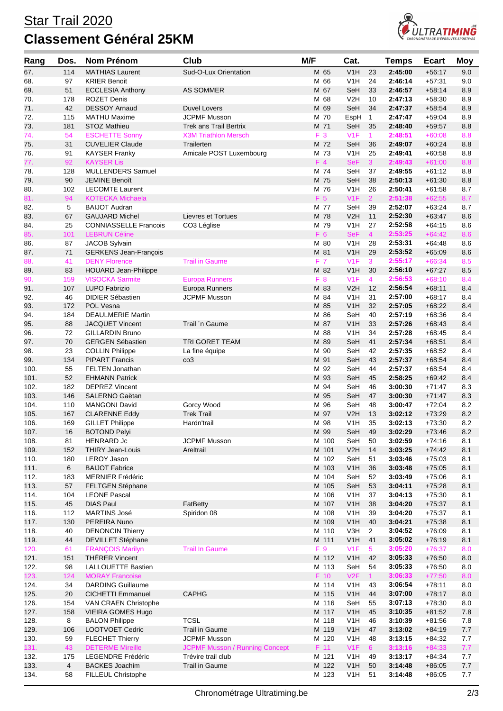## Star Trail 2020 **Classement Général 25KM**



| Rang         | Dos.           | Nom Prénom                                        | Club                                    | M/F            | Cat.                                 |                      | <b>Temps</b>       | <b>Ecart</b>         | <b>Moy</b> |
|--------------|----------------|---------------------------------------------------|-----------------------------------------|----------------|--------------------------------------|----------------------|--------------------|----------------------|------------|
| 67.          | 114            | <b>MATHIAS Laurent</b>                            | Sud-O-Lux Orientation                   | M 65           | V1H                                  | 23                   | 2:45:00            | $+56:17$             | 9.0        |
| 68.          | 97             | <b>KRIER Benoit</b>                               |                                         | M 66           | V1H                                  | 24                   | 2:46:14            | $+57:31$             | 9.0        |
| 69.          | 51             | <b>ECCLESIA Anthony</b>                           | AS SOMMER                               | M 67           | SeH                                  | 33                   | 2:46:57            | $+58:14$             | 8.9        |
| 70.          | 178            | <b>ROZET Denis</b>                                |                                         | M 68           | V <sub>2</sub> H                     | 10                   | 2:47:13            | $+58:30$             | 8.9        |
| 71.          | 42             | <b>DESSOY Arnaud</b>                              | Duvel Lovers                            | M 69           | SeH                                  | 34                   | 2:47:37            | $+58:54$             | 8.9        |
| 72.          | 115            | <b>MATHU Maxime</b>                               | <b>JCPMF Musson</b>                     | M 70           | EspH                                 | $\mathbf{1}$         | 2:47:47            | $+59:04$             | 8.9        |
| 73.          | 181            | <b>STOZ Mathieu</b>                               | <b>Trek ans Trail Bertrix</b>           | M 71           | SeH                                  | 35                   | 2:48:40            | $+59:57$             | 8.8        |
| 74.          | 54             | <b>ESCHETTE Sonny</b>                             | <b>X3M Triathlon Mersch</b>             | F 3            | V <sub>1</sub> F                     | 1                    | 2:48:51            | $+60:08$             | 8.8        |
| 75.          | 31             | <b>CUVELIER Claude</b>                            | Trailerten                              | M 72           | SeH                                  | 36                   | 2:49:07            | $+60:24$             | 8.8        |
| 76.<br>77.   | 91<br>92       | <b>KAYSER Franky</b><br><b>KAYSER Lis</b>         | Amicale POST Luxembourg                 | M 73<br>F4     | V1H<br><b>SeF</b>                    | 25<br>3 <sup>1</sup> | 2:49:41<br>2:49:43 | $+60:58$<br>$+61:00$ | 8.8<br>8.8 |
| 78.          | 128            | <b>MULLENDERS Samuel</b>                          |                                         | M 74           | SeH                                  | 37                   | 2:49:55            | $+61:12$             | 8.8        |
| 79.          | 90             | <b>JEMINE Benoît</b>                              |                                         | M 75           | SeH                                  | 38                   | 2:50:13            | $+61:30$             | 8.8        |
| 80.          | 102            | <b>LECOMTE Laurent</b>                            |                                         | M 76           | V1H                                  | 26                   | 2:50:41            | $+61:58$             | 8.7        |
| 81.          | 94             | <b>KOTECKA Michaela</b>                           |                                         | F <sub>5</sub> | V1F                                  | $\overline{2}$       | 2:51:38            | $+62:55$             | 8.7        |
| 82.          | 5              | <b>BAIJOT Audran</b>                              |                                         | M 77           | SeH                                  | 39                   | 2:52:07            | $+63:24$             | 8.7        |
| 83.          | 67             | <b>GAUJARD Michel</b>                             | Lievres et Tortues                      | M 78           | V2H                                  | 11                   | 2:52:30            | $+63:47$             | 8.6        |
| 84.          | 25             | <b>CONNIASSELLE Francois</b>                      | CO3 Léglise                             | M 79           | V1H                                  | 27                   | 2:52:58            | $+64:15$             | 8.6        |
| 85.          | 101            | <b>LEBRUN Céline</b>                              |                                         | F 6            | <b>SeF</b>                           | $\overline{4}$       | 2:53:25            | $+64:42$             | 8.6        |
| 86.          | 87             | JACOB Sylvain                                     |                                         | M 80           | V1H                                  | 28                   | 2:53:31            | $+64:48$             | 8.6        |
| 87.          | 71             | <b>GERKENS Jean-François</b>                      |                                         | M 81           | V <sub>1</sub> H                     | 29                   | 2:53:52            | $+65:09$             | 8.6        |
| 88.          | 41             | <b>DENY Florence</b>                              | <b>Trail in Gaume</b>                   | F 7            | V <sub>1F</sub>                      | 3                    | 2:55:17            | $+66:34$             | 8.5        |
| 89.          | 83             | <b>HOUARD Jean-Philippe</b>                       |                                         | M 82           | V1H                                  | 30                   | 2:56:10            | $+67:27$             | 8.5        |
| 90.<br>91.   | 159<br>107     | <b>VISOCKA Sarmite</b><br><b>LUPO Fabrizio</b>    | <b>Europa Runners</b><br>Europa Runners | F 8<br>M 83    | V <sub>1F</sub><br>V2H               | $\overline{4}$<br>12 | 2:56:53<br>2:56:54 | $+68:10$<br>$+68:11$ | 8.4<br>8.4 |
| 92.          | 46             | <b>DIDIER Sébastien</b>                           | <b>JCPMF Musson</b>                     | M 84           | V <sub>1</sub> H                     | 31                   | 2:57:00            | $+68:17$             | 8.4        |
| 93.          | 172            | POL Vesna                                         |                                         | M 85           | V <sub>1</sub> H                     | 32                   | 2:57:05            | $+68:22$             | 8.4        |
| 94.          | 184            | <b>DEAULMERIE Martin</b>                          |                                         | M 86           | SeH                                  | 40                   | 2:57:19            | $+68:36$             | 8.4        |
| 95.          | 88             | <b>JACQUET Vincent</b>                            | Trail 'n Gaume                          | M 87           | V1H                                  | 33                   | 2:57:26            | $+68:43$             | 8.4        |
| 96.          | 72             | <b>GILLARDIN Bruno</b>                            |                                         | M 88           | V <sub>1</sub> H                     | 34                   | 2:57:28            | $+68:45$             | 8.4        |
| 97.          | 70             | <b>GERGEN Sébastien</b>                           | <b>TRI GORET TEAM</b>                   | M 89           | SeH                                  | 41                   | 2:57:34            | $+68:51$             | 8.4        |
| 98.          | 23             | <b>COLLIN Philippe</b>                            | La fine équipe                          | M 90           | SeH                                  | 42                   | 2:57:35            | $+68:52$             | 8.4        |
| 99.          | 134            | <b>PIPART Francis</b>                             | $\cos$                                  | M 91           | SeH                                  | 43                   | 2:57:37            | +68:54               | 8.4        |
| 100.         | 55             | <b>FELTEN Jonathan</b>                            |                                         | M 92           | SeH                                  | 44                   | 2:57:37            | $+68:54$             | 8.4        |
| 101.         | 52             | <b>EHMANN Patrick</b>                             |                                         | M 93           | SeH                                  | 45                   | 2:58:25            | $+69:42$             | 8.4        |
| 102.         | 182            | <b>DEPREZ Vincent</b>                             |                                         | M 94           | SeH                                  | 46                   | 3:00:30            | $+71:47$             | 8.3        |
| 103.<br>104. | 146<br>110     | <b>SALERNO Gaëtan</b><br><b>MANGONI David</b>     | Gorcy Wood                              | M 95<br>M 96   | SeH<br>SeH                           | 47<br>48             | 3:00:30<br>3:00:47 | $+71:47$<br>$+72:04$ | 8.3<br>8.2 |
| 105.         | 167            | <b>CLARENNE Eddy</b>                              | <b>Trek Trail</b>                       | M 97           | V <sub>2</sub> H                     | 13                   | 3:02:12            | $+73:29$             | 8.2        |
| 106.         | 169            | <b>GILLET Philippe</b>                            | Hardn'trail                             | M 98           | V <sub>1</sub> H                     | 35                   | 3:02:13            | $+73:30$             | 8.2        |
| 107.         | $16\,$         | <b>BOTOND Pelyi</b>                               |                                         | M 99           | SeH                                  | 49                   | 3:02:29            | $+73:46$             | 8.2        |
| 108.         | 81             | <b>HENRARD Jc</b>                                 | <b>JCPMF Musson</b>                     | M 100          | SeH                                  | 50                   | 3:02:59            | $+74:16$             | 8.1        |
| 109.         | 152            | <b>THIRY Jean-Louis</b>                           | Areltrail                               | M 101          | V2H                                  | 14                   | 3:03:25            | $+74:42$             | 8.1        |
| 110.         | 180            | <b>LEROY Jason</b>                                |                                         | M 102          | SeH                                  | 51                   | 3:03:46            | $+75:03$             | 8.1        |
| 111.         | 6              | <b>BAIJOT Fabrice</b>                             |                                         | M 103          | V <sub>1</sub> H                     | 36                   | 3:03:48            | $+75:05$             | 8.1        |
| 112.         | 183            | <b>MERNIER Frédéric</b>                           |                                         | M 104          | SeH                                  | 52                   | 3:03:49            | $+75:06$             | 8.1        |
| 113.         | 57             | FELTGEN Stéphane                                  |                                         | M 105          | SeH                                  | 53                   | 3:04:11            | $+75:28$             | 8.1        |
| 114.         | 104            | <b>LEONE Pascal</b>                               |                                         | M 106          | V <sub>1</sub> H                     | 37                   | 3:04:13<br>3:04:20 | $+75:30$<br>$+75.37$ | 8.1        |
| 115.<br>116. | 45<br>112      | <b>DIAS Paul</b><br><b>MARTINS José</b>           | FatBetty<br>Spiridon 08                 | M 107<br>M 108 | V <sub>1</sub> H<br>V <sub>1</sub> H | 38<br>39             | 3:04:20            | $+75:37$             | 8.1<br>8.1 |
| 117.         | 130            | PEREIRA Nuno                                      |                                         | M 109          | V <sub>1</sub> H                     | 40                   | 3:04:21            | $+75.38$             | 8.1        |
| 118.         | 40             | <b>DENONCIN Thierry</b>                           |                                         | M 110          | V3H                                  | 2                    | 3:04:52            | $+76:09$             | 8.1        |
| 119.         | 44             | DEVILLET Stéphane                                 |                                         | M 111          | V <sub>1</sub> H                     | 41                   | 3:05:02            | $+76.19$             | 8.1        |
| 120.         | 61             | <b>FRANÇOIS Marilyn</b>                           | <b>Trail In Gaume</b>                   | F 9            | V <sub>1F</sub>                      | 5                    | 3:05:20            | $+76:37$             | 8.0        |
| 121.         | 151            | <b>THÉRER Vincent</b>                             |                                         | M 112          | V <sub>1</sub> H                     | 42                   | 3:05:33            | $+76.50$             | 8.0        |
| 122.         | 98             | <b>LALLOUETTE Bastien</b>                         |                                         | M 113          | SeH                                  | 54                   | 3:05:33            | $+76:50$             | 8.0        |
| 123.         | 124            | <b>MORAY Francoise</b>                            |                                         | F 10           | V2F                                  | 1                    | 3:06:33            | $+77:50$             | 8.0        |
| 124.         | 34             | <b>DARDING Guillaume</b>                          |                                         | M 114          | V <sub>1</sub> H                     | 43                   | 3:06:54            | $+78:11$             | 8.0        |
| 125.         | 20             | <b>CICHETTI Emmanuel</b>                          | <b>CAPHG</b>                            | M 115          | V1H                                  | 44                   | 3:07:00            | $+78:17$             | 8.0        |
| 126.         | 154            | VAN CRAEN Christophe                              |                                         | M 116          | SeH                                  | 55                   | 3:07:13            | $+78:30$             | 8.0        |
| 127.<br>128. | 158<br>8       | <b>VIEIRA GOMES Hugo</b><br><b>BALON Philippe</b> | <b>TCSL</b>                             | M 117<br>M 118 | V1H<br>V <sub>1</sub> H              | 45<br>46             | 3:10:35<br>3:10:39 | $+81:52$<br>$+81:56$ | 7.8<br>7.8 |
| 129.         | 106            | LOOTVOET Cedric                                   | Trail in Gaume                          | M 119          | V1H                                  | 47                   | 3:13:02            | $+84:19$             | 7.7        |
| 130.         | 59             | <b>FLECHET Thierry</b>                            | <b>JCPMF Musson</b>                     | M 120          | V <sub>1</sub> H                     | 48                   | 3:13:15            | $+84:32$             | 7.7        |
| 131.         | 43             | <b>DETERME Mireille</b>                           | <b>JCPMF Musson / Running Concept</b>   | F 11           | V1F                                  | $6^{\circ}$          | 3:13:16            | $+84:33$             | 7.7        |
| 132.         | 175            | LEGENDRE Frédéric                                 | Trévire trail club                      | M 121          | V <sub>1</sub> H                     | 49                   | 3:13:17            | $+84:34$             | 7.7        |
| 133.         | $\overline{4}$ | <b>BACKES Joachim</b>                             | Trail in Gaume                          | M 122          | V1H                                  | 50                   | 3:14:48            | $+86:05$             | 7.7        |
| 134.         | 58             | FILLEUL Christophe                                |                                         | M 123          | V <sub>1</sub> H                     | 51                   | 3:14:48            | $+86:05$             | 7.7        |